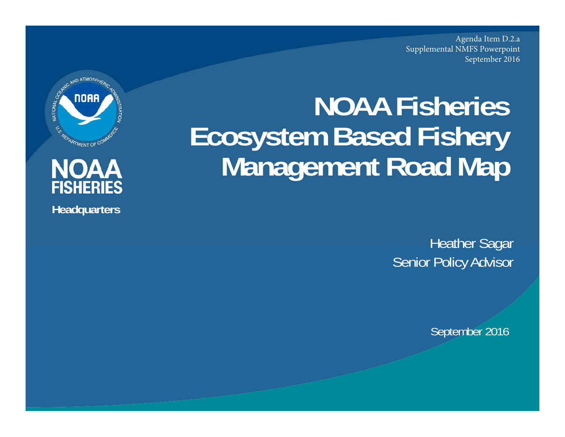Agenda Item D.2.a Supplemental NMFS PowerpointSeptember 2016

# **NOAA Fisheries Ecosystem Based Fishery Management Road Map**

**Heather Sagar** Senior Policy Advisor

September 2016





**Headquarters**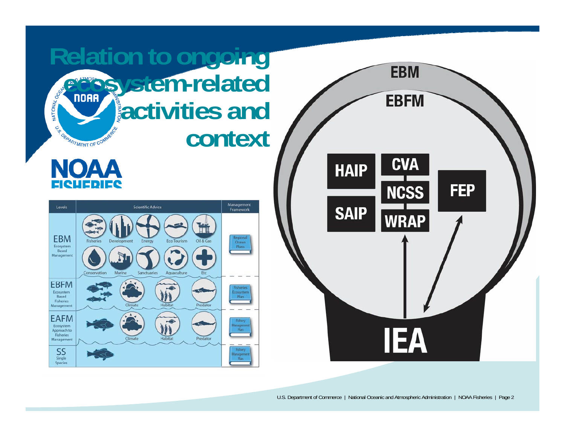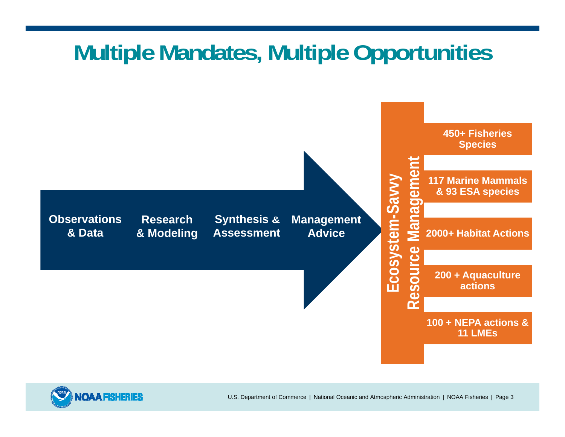## **Multiple Mandates, Multiple Opportunities**



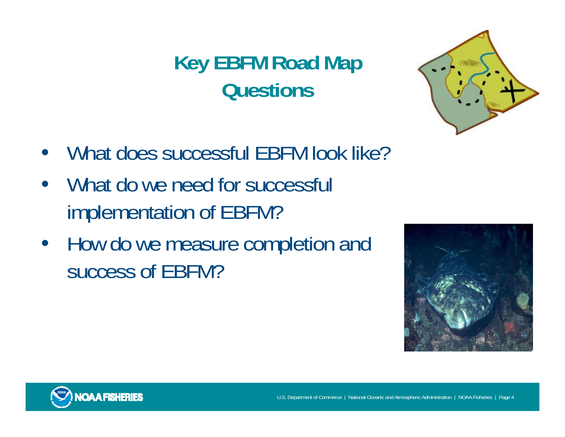#### **Key EBFM Road Map Questions**



- What does successful EBFM look like?
- What do we need for successful implementation of EBFM?
- How do we measure completion and success of EBFM?



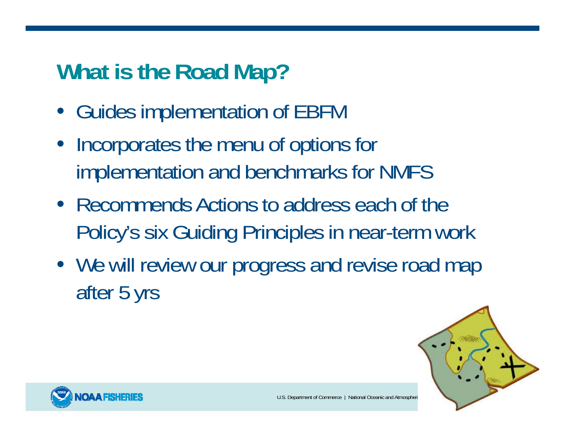# **What is the Road Map?**

- Guides implementation of EBFM
- Incorporates the menu of options for implementation and benchmarks for NMFS
- Recommends Actions to address each of the Policy's six Guiding Principles in near-term work
- We will review our progress and revise road map after 5 yrs



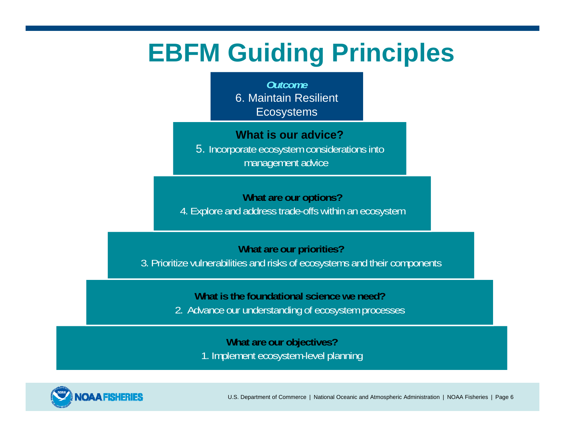## **EBFM Guiding Principles**

*Outcome*6. Maintain Resilient **Ecosystems** 

**What is our advice?**5. Incorporate ecosystem considerations into management advice

**What are our options?** 4. Explore and address trade-offs within an ecosystem

**What are our priorities?**

3. Prioritize vulnerabilities and risks of ecosystems and their components

**What is the foundational science we need?**

2. Advance our understanding of ecosystem processes

**What are our objectives?** 1. Implement ecosystem-level planning



U.S. Department of Commerce | National Oceanic and Atmospheric Administration | NOAA Fisheries | Page 6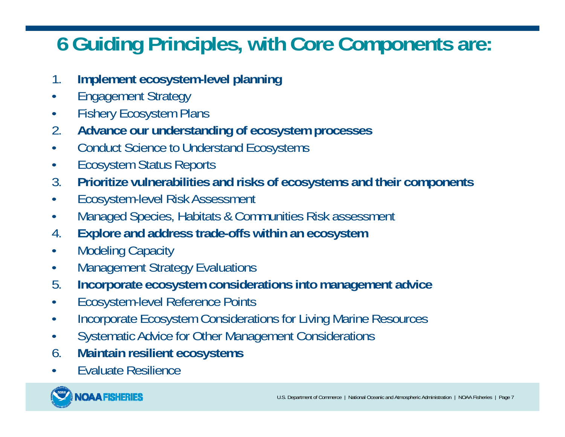#### **6 Guiding Principles, with Core Components are:**

- 1.**Implement ecosystem-level planning**
- $\bullet$ Engagement Strategy
- $\bullet$ Fishery Ecosystem Plans
- 2.**Advance our understanding of ecosystem processes**
- •Conduct Science to Understand Ecosystems
- •Ecosystem Status Reports
- 3.**Prioritize vulnerabilities and risks of ecosystems and their components**
- •Ecosystem-level Risk Assessment
- $\bullet$ Managed Species, Habitats & Communities Risk assessment
- 4.**Explore and address trade-offs within an ecosystem**
- $\bullet$ Modeling Capacity
- •Management Strategy Evaluations
- 5.**Incorporate ecosystem considerations into management advice**
- $\bullet$ Ecosystem-level Reference Points
- $\bullet$ Incorporate Ecosystem Considerations for Living Marine Resources
- $\bullet$ Systematic Advice for Other Management Considerations
- 6.**Maintain resilient ecosystems**
- •Evaluate Resilience

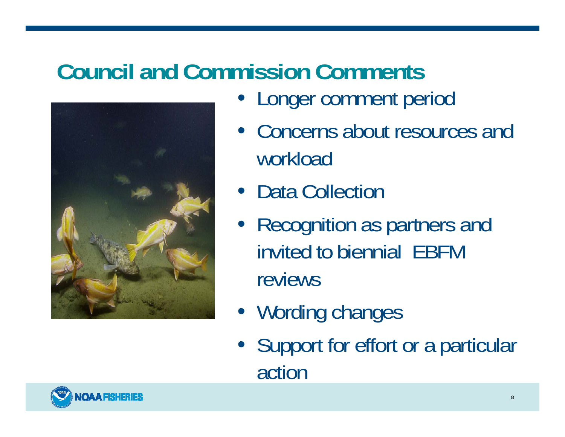# **Council and Commission Comments**



- Longer comment period
- Concerns about resources and workload
- Data Collection
- Recognition as partners and invited to biennial EBFM reviews
- Wording changes
- Support for effort or a particular action

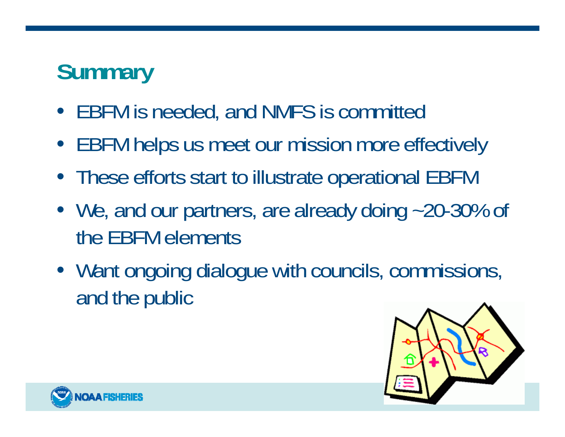# **Summary**

- EBFM is needed, and NMFS is committed
- EBFM helps us meet our mission more effectively
- These efforts start to illustrate operational EBFM
- We, and our partners, are already doing ~20-30% of the EBFM elements
- Want ongoing dialogue with councils, commissions, and the public



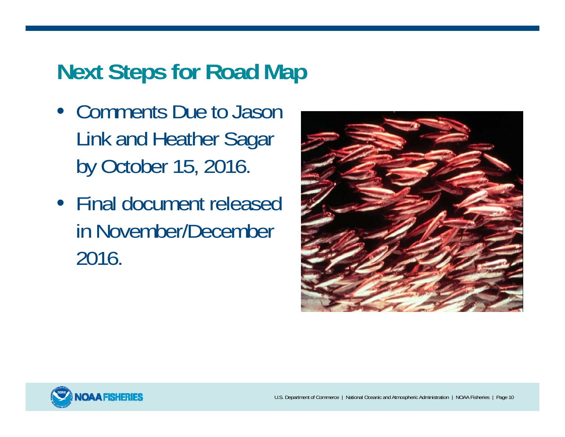### **Next Steps for Road Map**

- Comments Due to Jason Link and Heather Sagar by October 15, 2016.
- Final document released in November/December 2016.